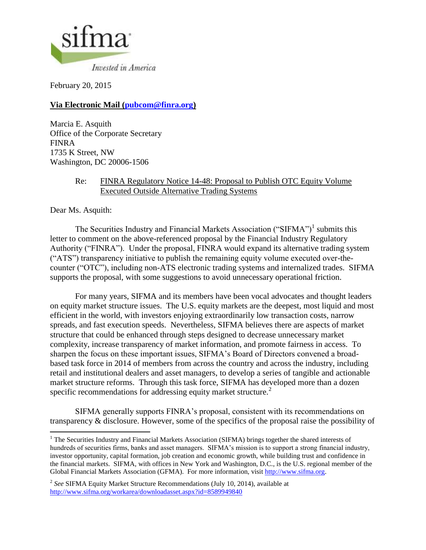

February 20, 2015

# **Via Electronic Mail [\(pubcom@finra.org\)](mailto:pubcom@finra.org)**

Marcia E. Asquith Office of the Corporate Secretary FINRA 1735 K Street, NW Washington, DC 20006-1506

## Re: FINRA Regulatory Notice 14-48: Proposal to Publish OTC Equity Volume Executed Outside Alternative Trading Systems

Dear Ms. Asquith:

 $\overline{\phantom{a}}$ 

The Securities Industry and Financial Markets Association ("SIFMA")<sup>1</sup> submits this letter to comment on the above-referenced proposal by the Financial Industry Regulatory Authority ("FINRA"). Under the proposal, FINRA would expand its alternative trading system ("ATS") transparency initiative to publish the remaining equity volume executed over-thecounter ("OTC"), including non-ATS electronic trading systems and internalized trades. SIFMA supports the proposal, with some suggestions to avoid unnecessary operational friction.

For many years, SIFMA and its members have been vocal advocates and thought leaders on equity market structure issues. The U.S. equity markets are the deepest, most liquid and most efficient in the world, with investors enjoying extraordinarily low transaction costs, narrow spreads, and fast execution speeds. Nevertheless, SIFMA believes there are aspects of market structure that could be enhanced through steps designed to decrease unnecessary market complexity, increase transparency of market information, and promote fairness in access. To sharpen the focus on these important issues, SIFMA's Board of Directors convened a broadbased task force in 2014 of members from across the country and across the industry, including retail and institutional dealers and asset managers, to develop a series of tangible and actionable market structure reforms. Through this task force, SIFMA has developed more than a dozen specific recommendations for addressing equity market structure.<sup>2</sup>

SIFMA generally supports FINRA's proposal, consistent with its recommendations on transparency & disclosure. However, some of the specifics of the proposal raise the possibility of

<sup>&</sup>lt;sup>1</sup> The Securities Industry and Financial Markets Association (SIFMA) brings together the shared interests of hundreds of securities firms, banks and asset managers. SIFMA's mission is to support a strong financial industry, investor opportunity, capital formation, job creation and economic growth, while building trust and confidence in the financial markets. SIFMA, with offices in New York and Washington, D.C., is the U.S. regional member of the Global Financial Markets Association (GFMA). For more information, visit [http://www.sifma.org.](http://www.sifma.org/)

<sup>2</sup> *See* SIFMA Equity Market Structure Recommendations (July 10, 2014), available at <http://www.sifma.org/workarea/downloadasset.aspx?id=8589949840>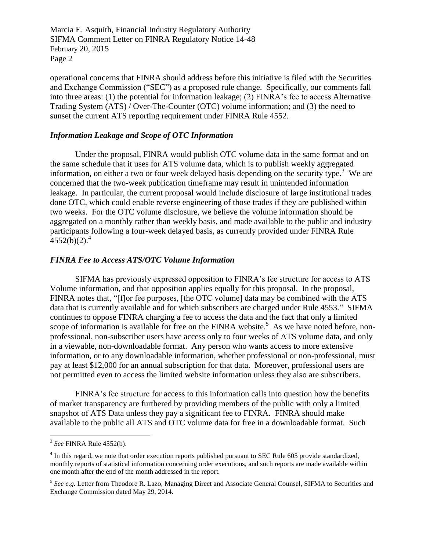Marcia E. Asquith, Financial Industry Regulatory Authority SIFMA Comment Letter on FINRA Regulatory Notice 14-48 February 20, 2015 Page 2

operational concerns that FINRA should address before this initiative is filed with the Securities and Exchange Commission ("SEC") as a proposed rule change. Specifically, our comments fall into three areas: (1) the potential for information leakage; (2) FINRA's fee to access Alternative Trading System (ATS) / Over-The-Counter (OTC) volume information; and (3) the need to sunset the current ATS reporting requirement under FINRA Rule 4552.

### *Information Leakage and Scope of OTC Information*

Under the proposal, FINRA would publish OTC volume data in the same format and on the same schedule that it uses for ATS volume data, which is to publish weekly aggregated information, on either a two or four week delayed basis depending on the security type.<sup>3</sup> We are concerned that the two-week publication timeframe may result in unintended information leakage. In particular, the current proposal would include disclosure of large institutional trades done OTC, which could enable reverse engineering of those trades if they are published within two weeks. For the OTC volume disclosure, we believe the volume information should be aggregated on a monthly rather than weekly basis, and made available to the public and industry participants following a four-week delayed basis, as currently provided under FINRA Rule  $4552(b)(2).<sup>4</sup>$ 

### *FINRA Fee to Access ATS/OTC Volume Information*

SIFMA has previously expressed opposition to FINRA's fee structure for access to ATS Volume information, and that opposition applies equally for this proposal. In the proposal, FINRA notes that, "[f]or fee purposes, [the OTC volume] data may be combined with the ATS data that is currently available and for which subscribers are charged under Rule 4553." SIFMA continues to oppose FINRA charging a fee to access the data and the fact that only a limited scope of information is available for free on the FINRA website.<sup>5</sup> As we have noted before, nonprofessional, non-subscriber users have access only to four weeks of ATS volume data, and only in a viewable, non-downloadable format. Any person who wants access to more extensive information, or to any downloadable information, whether professional or non-professional, must pay at least \$12,000 for an annual subscription for that data. Moreover, professional users are not permitted even to access the limited website information unless they also are subscribers.

FINRA's fee structure for access to this information calls into question how the benefits of market transparency are furthered by providing members of the public with only a limited snapshot of ATS Data unless they pay a significant fee to FINRA. FINRA should make available to the public all ATS and OTC volume data for free in a downloadable format. Such

 3 *See* FINRA Rule 4552(b).

<sup>&</sup>lt;sup>4</sup> In this regard, we note that order execution reports published pursuant to SEC Rule 605 provide standardized, monthly reports of statistical information concerning order executions, and such reports are made available within one month after the end of the month addressed in the report.

<sup>&</sup>lt;sup>5</sup> See e.g. Letter from Theodore R. Lazo, Managing Direct and Associate General Counsel, SIFMA to Securities and Exchange Commission dated May 29, 2014.